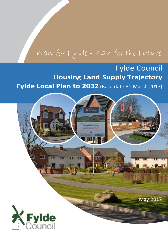## Plan for Fylde - Plan for the Future

## **Fylde Council Housing Land Supply Trajectory** Fylde Local Plan to 2032 (Base date 31 March 2017)

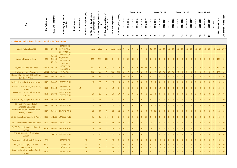| Queensway, St Annes                                 | HSS1            | 1A782                   | 08/0058 OL<br>13/0257 RM<br>15/400 FULL              |                 | 1150 | 1150 | $\overline{0}$ | $1150$ 1150 0  |                |                | $\overline{0}$ | $\overline{0}$ | $\overline{0}$ | $\Omega$       | $\overline{0}$ |                 |                 |                 |                 | 30 60 60 60 60  |                | 60 60 60 60 60    |                |                |                |                | 60 60 60 60 60 |                |                |                |                 | 870 280        |
|-----------------------------------------------------|-----------------|-------------------------|------------------------------------------------------|-----------------|------|------|----------------|----------------|----------------|----------------|----------------|----------------|----------------|----------------|----------------|-----------------|-----------------|-----------------|-----------------|-----------------|----------------|-------------------|----------------|----------------|----------------|----------------|----------------|----------------|----------------|----------------|-----------------|----------------|
| Lytham Quays, Lytham                                | HSS3            | 1A200<br>1A354<br>1A735 | 02/0641 OL<br>06/0074 RM<br>09/0659 OL<br>11/0374 RM |                 | 119  | 119  | 119            | $\overline{0}$ | $\overline{0}$ | 5 <sup>5</sup> | 22             | 48             | $40 \mid 4$    |                | $\Omega$       | $\overline{0}$  | $\overline{0}$  |                 | $0$ 0           | $\overline{0}$  | $\overline{0}$ | $\overline{0}$    | $\overline{0}$ | $\overline{0}$ | $\Omega$       | $0-1$          | $\overline{0}$ | $\overline{0}$ | $\overline{0}$ | $\overline{0}$ | $119$ 0         |                |
| <b>Heyhouses Lane, St Annes</b>                     |                 | MUS4 1A783              | 12/0465 OL<br>13/0448 RM                             |                 | 162  | 162  | 103            | 59             | 59             | $\overline{0}$ | $\overline{0}$ | $\overline{0}$ |                | $10$ 33        | 60             | 30 <sup>1</sup> | 29              | $\overline{0}$  | $\overline{0}$  | $\overline{0}$  | $\overline{0}$ | $\overline{0}$    | $\overline{0}$ | $\overline{0}$ |                | $\overline{0}$ | $\overline{0}$ |                | $\overline{0}$ |                | 162             | $\overline{0}$ |
| Heyhouses Lane, St Annes                            |                 | MUS4 1A783              | 15/787 OL                                            |                 | 160  | 160  | $\overline{0}$ | 160            | 160            | $\overline{0}$ | $\overline{0}$ | $\overline{0}$ | $\overline{0}$ | $\overline{0}$ | $0-1$          | $\overline{0}$  | 15              | 30 <sup>°</sup> | 30              | 30 <sup>°</sup> |                | $30 \mid 25 \mid$ | $\overline{0}$ | $\overline{0}$ | $\overline{0}$ | $\overline{0}$ | $\overline{0}$ | $\overline{0}$ | $\overline{0}$ | $\overline{0}$ | 160             | $\overline{0}$ |
| Queen Mary School, Clifton Drive<br>South, St Annes | HS1             |                         | 1A439 03/0157 COU                                    |                 | 35   | 35   | 35             | $\overline{0}$ | $\overline{0}$ | 21             | 14             | $\overline{0}$ |                |                |                | $\overline{0}$  | $\overline{0}$  | $\Omega$        | $\overline{0}$  | $\Omega$        | $\overline{0}$ | $\overline{0}$    |                | $\Omega$       |                | $\overline{0}$ | $\overline{0}$ |                | $\overline{0}$ |                | 35              |                |
| Jubilee House, East Beach, Lytham                   | HS <sub>2</sub> |                         | 1A847 13/0001 FULL                                   |                 | 20   | 20   | $\overline{0}$ | 20             | 20             | $\overline{0}$ | $\overline{0}$ | $\overline{0}$ | $\overline{0}$ | $\overline{0}$ | $\Omega$       | 15              | 5 <sub>1</sub>  | $\overline{0}$  | $\overline{0}$  | $\overline{0}$  | $\overline{0}$ | $\overline{0}$    | $\Omega$       | $\overline{0}$ | $\Omega$       | $\overline{0}$ | $\overline{0}$ | $\overline{0}$ | $\overline{0}$ |                | 20              | $\overline{0}$ |
| Ashton Nurseries, Mythop Road,<br>Lytham            | HS3             | 1A858                   | 07/1264 OL<br>16/0413 FULL                           | 12              |      | 12   | $\overline{0}$ | 12             | $\overline{0}$ | $\overline{0}$ | $\overline{0}$ | $\overline{0}$ | $\Omega$       | $\Omega$       | $\Omega$       | $\overline{0}$  | $\overline{0}$  | 12 <sup>2</sup> | $\overline{0}$  | $\overline{0}$  | $\overline{0}$ | $\overline{0}$    | $\Omega$       | $\overline{0}$ |                | $\overline{0}$ | $\overline{0}$ |                | $\overline{0}$ |                | 12 <sup>7</sup> |                |
| The Gables, 35-39 Orchard Road,<br><b>St Annes</b>  |                 | HS4 1A594               | 05/0648 FULL<br>16/0639 FULL                         |                 | 19   | 19   | $\overline{0}$ | 19             | 19             | $\overline{0}$ | $\overline{0}$ | $\overline{0}$ | $\overline{0}$ | $\overline{0}$ | $\Omega$       | 15              | $\overline{4}$  | $\overline{0}$  | $\overline{0}$  | $\overline{0}$  | $\overline{0}$ | $\overline{0}$    | $\overline{0}$ | $\overline{0}$ | $\Omega$       | $\overline{0}$ | $\overline{0}$ | $\overline{0}$ | $\overline{0}$ |                | 19              | $\overline{0}$ |
| 7-8 St Georges Square, St Annes                     | HS <sub>5</sub> |                         | 1A760 10/0891 COU                                    |                 | 11   | 11   | 11             | $\overline{0}$ | $\overline{0}$ | $\overline{0}$ | $\overline{0}$ | $\overline{0}$ | $\overline{0}$ | $\overline{0}$ | 11             | $\overline{0}$  | $\overline{0}$  | $\overline{0}$  | $\overline{0}$  | $\overline{0}$  | $\overline{0}$ | $\overline{0}$    | $\Omega$       | $\overline{0}$ | $\Omega$       | $\overline{0}$ | $\overline{0}$ | $\Omega$       | $\overline{0}$ |                | 11              | $\Omega$       |
| 68 North Promenade & 1<br>Sandgate, St Annes        | HS <sub>6</sub> |                         | 1A828 08/0853 FULL                                   |                 | 12   | 12   | $\overline{0}$ | 12             | 12             | $\overline{0}$ | $\overline{0}$ | $\overline{0}$ | $\overline{0}$ | $\overline{0}$ | $\overline{0}$ | 12              | $\overline{0}$  | $\overline{0}$  | $\overline{0}$  | $\overline{0}$  | $\overline{0}$ | $\overline{0}$    | $\overline{0}$ | $\overline{0}$ | $\Omega$       | $\overline{0}$ | $\overline{0}$ | $\overline{0}$ | $\overline{0}$ |                | 12              | $\overline{0}$ |
| Petros House, St Andrews Road<br>North, St Annes    | HS7             |                         | 1A931 14/0418 COU                                    |                 | 35   | 35   | $\overline{0}$ | 35             | 35             | $\overline{0}$ | $\overline{0}$ | $\overline{0}$ | $\overline{0}$ | $\overline{0}$ | $\Omega$       | 15              | 20 <sup>1</sup> | $\overline{0}$  | $\overline{0}$  | $\overline{0}$  | $\overline{0}$ | $\overline{0}$    | $\Omega$       | $\overline{0}$ |                | $\overline{0}$ | $\overline{0}$ | $\overline{0}$ | $\overline{0}$ |                | 35              | $\overline{0}$ |
| 35-37 South Promenade, St Annes                     |                 |                         | HS8 1A1003 14/0327 FULL                              |                 | 36   | 36   | 36             | $\overline{0}$ | $\overline{0}$ | $\overline{0}$ | $\overline{0}$ | $\overline{0}$ | $\overline{0}$ | $\overline{0}$ | 36             | $\overline{0}$  | $\overline{0}$  | $\Omega$        | $\overline{0}$  | $\Omega$        | $\overline{0}$ | $\overline{0}$    | $\Omega$       | $\Omega$       |                | $\overline{0}$ | $\overline{0}$ |                | $\overline{0}$ |                | 36              |                |
| 23 - 33 Fairhaven Road, St Annes                    | HS9             |                         | 1A990 14/0320 FULL                                   |                 | 32   | 32   | $\overline{0}$ | 32             | 32             | $\overline{0}$ | $\overline{0}$ | $\overline{0}$ | $\overline{0}$ | $\overline{0}$ | $\Omega$       | 15              | 17              | $\overline{0}$  | $\overline{0}$  | $\overline{0}$  | $\overline{0}$ | $\overline{0}$    | $\overline{0}$ | $\overline{0}$ | $\Omega$       | $\overline{0}$ | $\overline{0}$ | $\overline{0}$ | $\overline{0}$ |                | 32 <sup>°</sup> | $\overline{0}$ |
| 34-36 Orchard Road, Lytham St<br>Annes              |                 |                         | HS10  1A998  15/0176  FULL                           |                 | 12   | 12   | $\Omega$       | 12             | 12             | $\overline{0}$ | $\overline{0}$ | $\overline{0}$ | $\Omega$       | $\Omega$       | $\Omega$       | 12 <sup>°</sup> | $\overline{0}$  | $\Omega$        | $\overline{0}$  | $\Omega$        | $\overline{0}$ | $\overline{0}$    | $\Omega$       | $\Omega$       |                | $\overline{0}$ | $\overline{0}$ | $\Omega$       | $\overline{0}$ |                | 12              |                |
| The Galleries, 2-4 Kingsway,<br>Lytham              |                 |                         | HS11 1A1010 15/0486 FULL                             |                 | 10   | 10   | $\overline{0}$ | 10             | 10             | $\overline{0}$ | $\overline{0}$ | $\overline{0}$ | $\overline{0}$ | $\overline{0}$ | $\overline{0}$ | 10              | $\overline{0}$  | $\overline{0}$  | $\overline{0}$  | $\overline{0}$  | $\overline{0}$ | $\overline{0}$    | $\overline{0}$ | $\overline{0}$ | $\overline{0}$ | $\overline{0}$ | $\overline{0}$ | $\overline{0}$ | $\overline{0}$ | $\overline{0}$ | 10              | $\overline{0}$ |
| Fairways, Heeley Road, St Annes                     | <b>HS12</b>     |                         | 08/0092 OL                                           | 20 <sub>2</sub> |      | 20   | $\overline{0}$ | 20             | $\overline{0}$ | $\overline{0}$ | $\overline{0}$ | $\overline{0}$ | $\overline{0}$ | $\overline{0}$ |                | $\overline{0}$  | $\overline{0}$  | 15              | 5 <sub>1</sub>  | $\overline{0}$  | $\overline{0}$ | $\overline{0}$    | $\overline{0}$ | $\overline{0}$ |                | $\overline{0}$ | $\overline{0}$ | $\overline{0}$ | $\overline{0}$ |                | 20              | $\overline{0}$ |
| <b>Kingsway Garage, St Annes</b>                    | <b>HS13</b>     |                         | 11/0667 OL                                           | 30 <sup>°</sup> |      | 30   | $\overline{0}$ | 30             | $\overline{0}$ | $\overline{0}$ | $\overline{0}$ | $\overline{0}$ | $\Omega$       | $\overline{0}$ | $\Omega$       | $\overline{0}$  | $\overline{0}$  | 15              | 15              | $\theta$        | $\overline{0}$ | $\overline{0}$    | $\overline{0}$ | $\overline{0}$ | $\Omega$       | $\overline{0}$ | $\overline{0}$ | $\overline{0}$ | $\overline{0}$ | $\theta$       | 30 <sup>°</sup> | $\overline{0}$ |
| Axa, Lytham                                         | <b>HS14</b>     |                         | 13/0152 OL                                           | 45              |      | 45   | $\overline{0}$ | 45             | $\overline{0}$ | $\overline{0}$ | $\overline{0}$ | $\overline{0}$ | $\overline{0}$ | $\overline{0}$ | $\overline{0}$ | $\overline{0}$  | 0               | 15              | 30 <sup>°</sup> | $\overline{0}$  | $\overline{0}$ | $\overline{0}$    | $\overline{0}$ | $\overline{0}$ | $\mathbf{0}$   | $\overline{0}$ | $\overline{0}$ | $\overline{0}$ | $\overline{0}$ | $\overline{0}$ | 45              | $\overline{0}$ |
| Land to the West, Ballam Road,<br>Lytham            | <b>HS15</b>     |                         | 14/0161 FULL                                         | 12              |      | 12   | $\mathbf{0}$   | 12             | $\overline{0}$ |                | $\overline{0}$ | $\overline{0}$ | $\overline{0}$ |                |                | $\overline{0}$  | 12 <sup>2</sup> | $\overline{0}$  | $\overline{0}$  | $\overline{0}$  | $\overline{0}$ | $\overline{0}$    |                | $\overline{0}$ |                | $\overline{0}$ | $\overline{0}$ |                | $\overline{0}$ |                | 12              | $\overline{0}$ |

|    |    |                    |                 |        |        | ≎<br>Ø       |                                                                                   |        |                                     |                                       | ≘           |                |                             |                                      | Years 1 to 6 |              |                                             |                                 | Years 7 to 11                     |              |                       |                       |         |                        | Years 12 to 16             |                                           |        |                               | Years 17 to 21             |                              |        |                                   |  |
|----|----|--------------------|-----------------|--------|--------|--------------|-----------------------------------------------------------------------------------|--------|-------------------------------------|---------------------------------------|-------------|----------------|-----------------------------|--------------------------------------|--------------|--------------|---------------------------------------------|---------------------------------|-----------------------------------|--------------|-----------------------|-----------------------|---------|------------------------|----------------------------|-------------------------------------------|--------|-------------------------------|----------------------------|------------------------------|--------|-----------------------------------|--|
| ົທ | ໍທ | ≔<br>--<br>U)<br>ഗ | ⋍<br>௨<br>ත $=$ | n<br>ø | ≔<br>m | こ<br>൦<br>70 | -<br>≏<br>÷<br>$\tilde{\phantom{a}}$<br>요 ㄷ<br>0<br>∸<br>$\overline{\phantom{0}}$ | ₩<br>÷ | $\circ$<br>≒<br>ဖ ့စ<br><u>ဦ နှ</u> | ගි<br>щ.<br>≝<br>ω<br>$\pi$<br>σ<br>⋒ | ୧<br>≏<br>≂ | N.<br>N        | ຕ<br>o<br>Ñ<br>ິ<br>◓<br>ิณ | $\circ$<br>$\bar{N}$<br>ო<br>$\circ$ | o<br>o       | c<br>$\circ$ | $\circ$<br>$\bar{N}$<br>ശ<br>$\bullet$<br>N | $\circ$<br>$\bar{N}$<br>$\circ$ | $\circ$<br>$\mathbf{\alpha}$<br>o | N<br>ດາ<br>⊂ | ဥ<br>Ñ<br>⌒<br>8<br>ົ | ິ<br>ຊ<br>-<br>ິ<br>0 | Ŕ.<br>0 | $\circ$<br>N<br>ო<br>Õ | $\sim$<br>ଟ<br>8<br>$\sim$ | $\circ$<br>$\sim$<br>n.<br>$\bullet$<br>N | 0<br>◠ | $\bullet$<br>$\sim$<br>~<br>Õ | с<br>Ñ<br>ထ<br>∼<br>с<br>N | ∞<br>$\circ$<br>െ<br>$\circ$ | o<br>o | N<br>67<br>$\mathbf{\Omega}$<br>c |  |
|    |    |                    |                 |        |        | $\mathbf{o}$ | ◘                                                                                 | ш      |                                     | U                                     | -           | $\blacksquare$ | $\sim$                      | ຕ                                    |              |              | 50                                          |                                 | $\infty$                          | ດກ           |                       |                       |         |                        |                            |                                           |        |                               | œ                          | ײַ                           | 0      | $\overline{\mathbf{a}}$           |  |

## SL1 - Lytham and St Annes Strategic Location for Development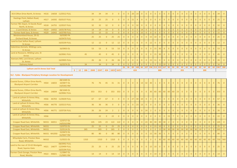| 353 Clifton Drive North, St Annes                          |                  |       | HS16 1A658 11/0312 FULL    |              |           |     | 34   | 34   | 34             | $\overline{0}$      | $\overline{0}$ | $\overline{0}$ | $\overline{0}$ | 20             | $14 0$         |                | $\overline{0}$ | $\overline{0}$ | $\overline{0}$  | $\overline{0}$                | $\overline{0}$ | $\overline{0}$ | $\overline{0}$ | $\overline{0}$ | $\overline{0}$ | $\overline{0}$ | $\overline{0}$ | $\overline{0}$ |    | $\overline{0}$ | $\overline{0}$ | $\overline{0}$ | 34 | $\overline{0}$ |
|------------------------------------------------------------|------------------|-------|----------------------------|--------------|-----------|-----|------|------|----------------|---------------------|----------------|----------------|----------------|----------------|----------------|----------------|----------------|----------------|-----------------|-------------------------------|----------------|----------------|----------------|----------------|----------------|----------------|----------------|----------------|----|----------------|----------------|----------------|----|----------------|
| Hastings Point, Ballam Road,<br>Lytham                     | <b>HS17</b>      |       | 1A592 03/0157 FULL         |              |           |     | 25   | 25   | 25             | $\overline{0}$      | $\overline{0}$ |                | $\overline{0}$ | 21             | $\overline{4}$ | $\overline{0}$ | $\overline{0}$ | $\overline{0}$ | $\overline{0}$  | $\overline{0}$                | $\overline{0}$ | $\overline{0}$ | $\overline{0}$ | $\overline{0}$ | $\overline{0}$ | $\overline{0}$ | $\overline{0}$ | $\overline{0}$ |    | $\overline{0}$ | $\overline{0}$ | $\overline{0}$ | 25 | $\overline{0}$ |
| Former FBC Depot, St Davids Road<br>North, St Annes        | <b>HS18</b>      |       | 1A755 12/0537 FULL         |              |           |     | 32   | 32   | 32             | $\overline{0}$      | $\overline{0}$ |                | $\overline{0}$ | $\overline{0}$ | $32$ 0         |                | $\overline{0}$ | $\overline{0}$ | $\overline{0}$  | $\overline{0}$                | $\overline{0}$ | $\overline{0}$ | $\overline{0}$ | $\overline{0}$ | $\overline{0}$ | $\overline{0}$ | $\overline{0}$ | $\overline{0}$ |    | $\overline{0}$ | $\overline{0}$ | $\overline{0}$ | 32 | $\overline{0}$ |
| 1 Lord Street, St Annes                                    | <b>HS19</b>      |       | 1A932 14/0178 FULL         |              |           |     | 14   | 14   | 14             | $\Omega$            | $\overline{0}$ |                | $\Omega$       |                | $\overline{0}$ | 14             |                | $\Omega$       |                 | $\overline{0}$                | $\overline{0}$ |                | $\overline{0}$ |                | $\overline{0}$ | $\overline{0}$ |                | $\Omega$       |    | $\overline{0}$ |                | $\overline{0}$ | 14 |                |
| Former Kwik Save, St Annes                                 | HS <sub>20</sub> | 1A943 | 14/0790 FULL               |              |           |     | 15   | 15   | 15             | $\overline{0}$      | $\overline{0}$ |                | $\overline{0}$ | $\Omega$       | $\overline{0}$ | 15             |                | $\Omega$       |                 | $\overline{0}$                | $\overline{0}$ |                | $\overline{0}$ |                | $\overline{0}$ | $\overline{0}$ |                | $\overline{0}$ |    | $\overline{0}$ | $\overline{0}$ | $\overline{0}$ | 15 | $\overline{0}$ |
| Westmoreland House, 29-31<br><b>Orchard Road, St Annes</b> |                  |       | 16/0285 PA<br>16/0470 FULL |              |           |     | 25   | 25   |                | 25                  | 25             |                | $\overline{0}$ | $\overline{0}$ | $\overline{0}$ | $\overline{0}$ | $\overline{0}$ | 15             | 10 <sup>°</sup> | $\overline{0}$                | $\overline{0}$ | $\overline{0}$ | $\overline{0}$ | $\overline{0}$ | $\overline{0}$ | $\overline{0}$ | $\overline{0}$ | $\overline{0}$ |    | $\overline{0}$ | $\overline{0}$ | $\overline{0}$ | 25 | $\overline{0}$ |
| Land to East Sefton Road, Lytham<br><b>St Annes</b>        |                  |       | 16/0239 FULL               |              |           |     | 12   | 12   | $\overline{0}$ | 12                  | 12             |                | $\overline{0}$ | $\overline{0}$ | $\overline{0}$ | $\overline{0}$ | $\overline{0}$ | 12             | $\overline{0}$  | $\overline{0}$                | $\overline{0}$ | $\overline{0}$ | $\overline{0}$ | $\overline{0}$ | $\overline{0}$ | $\overline{0}$ | $\overline{0}$ | $\Omega$       |    | $\overline{0}$ | $\overline{0}$ | $\overline{0}$ | 12 | $\overline{0}$ |
| Valentines Kennels, Wildings Lane,<br><b>St Annes</b>      |                  |       | 16/0903 OL                 |              |           |     | 53   | 53   | $\overline{0}$ | 53                  | 53             | $\overline{0}$ | $\overline{0}$ | $\overline{0}$ | 0 <sup>1</sup> | $\overline{0}$ | $\overline{0}$ | $\overline{0}$ | 15              | 30                            | 8 <sup>°</sup> | $\overline{0}$ | $\overline{0}$ | $\overline{0}$ | $\overline{0}$ | $\overline{0}$ | $\overline{0}$ | $\overline{0}$ |    | $\overline{0}$ | $\overline{0}$ | $\overline{0}$ | 53 | $\overline{0}$ |
| Land at Roseacre, Wilding Lane, St<br>Annes                |                  |       | 16/0061 FULL               |              |           | 45  |      | 45   |                | 45                  | $\overline{0}$ |                | $\overline{0}$ | $\overline{0}$ | $\overline{0}$ | $\overline{0}$ | $\overline{0}$ | $\overline{0}$ | 15              | 30                            | $\overline{0}$ | $\overline{0}$ | $\overline{0}$ | $\overline{0}$ | $\overline{0}$ | $\overline{0}$ | $\overline{0}$ | $\Omega$       |    | $\overline{0}$ | $\overline{0}$ | $\overline{0}$ | 45 | $\overline{0}$ |
| Keenans Mill, Lord Street, Lytham<br>St. Annes             |                  |       | 16/0905 FULL               |              |           |     | 26   | 26   | $\overline{0}$ | 26                  | 26             | $\overline{0}$ | $\overline{0}$ | $\overline{0}$ | $\overline{0}$ | $\overline{0}$ | $\overline{0}$ | 15             | 11              | $\overline{0}$                | $\overline{0}$ | $\overline{0}$ | $\overline{0}$ | $\overline{0}$ | $\overline{0}$ | $\overline{0}$ | $\overline{0}$ | $\overline{0}$ |    | $\overline{0}$ | $\overline{0}$ | $\overline{0}$ | 26 | $\overline{0}$ |
| <b>Dalmeny Hotel</b>                                       |                  |       | 16/0374 OL                 |              |           | 34  |      | 34   | $\overline{0}$ | 34                  | $\overline{0}$ |                | $\overline{0}$ | $\overline{0}$ | $\overline{0}$ | $\overline{0}$ |                | $\Omega$       |                 | 15                            | 19             |                | $\overline{0}$ |                | $\overline{0}$ | $\overline{0}$ |                | $\overline{0}$ |    | $\overline{0}$ | $\overline{0}$ | $\overline{0}$ | 34 | $\overline{0}$ |
| <b>Lytham and St Annes Sub Total</b>                       |                  |       |                            | $\mathbf{0}$ | <b>12</b> | 186 | 2049 | 2247 |                | $424$   1823   1625 |                | $26 \mid$      | 36             | 89<br>424      | 100 66         |                |                |                |                 | 107 196 213 222 167 90<br>888 |                |                | 90             | 85             | 60<br>355      | 60             | 60             | 60             | 60 | 60<br>300      | 60             |                |    | 60 $ 1967 280$ |
|                                                            |                  |       |                            |              |           |     |      |      |                |                     |                |                |                |                |                |                |                |                |                 |                               |                |                |                |                |                |                |                |                |    |                |                |                |    |                |

| SL2 - Fylde - Blackpool Periphery Strategic Location for Development     |                  |             |                                              |      |     |      |                |                |                |                |                |                |                |                |                |                 |                |                 |                                    |                |                |                |                |                |                |                |                |                |                |                |         |                |
|--------------------------------------------------------------------------|------------------|-------------|----------------------------------------------|------|-----|------|----------------|----------------|----------------|----------------|----------------|----------------|----------------|----------------|----------------|-----------------|----------------|-----------------|------------------------------------|----------------|----------------|----------------|----------------|----------------|----------------|----------------|----------------|----------------|----------------|----------------|---------|----------------|
| Coastal Dunes, Clifton Drive North,<br><b>Blackpool Airport Corridor</b> |                  | HSS4 1A833  | 08/1049 OL<br>10/0877 OL<br>14/0392 RM       |      | 76  | 76   | 45             | 31             | 31             | $\overline{0}$ | $\overline{0}$ | $\overline{0}$ | $\overline{0}$ | 13             | 32             | 30 <sup>°</sup> |                | $\overline{0}$  | $\overline{0}$                     | $\overline{0}$ | $\overline{0}$ | $\overline{0}$ | $\overline{0}$ | $\overline{0}$ | $\overline{0}$ | $\overline{0}$ | $\overline{0}$ | $\overline{0}$ | $\overline{0}$ |                | 76      | $\overline{0}$ |
| Coastal Dunes, Clifton Drive North,<br><b>Blackpool Airport Corridor</b> |                  | HSS4 1A834  | 08/1049 OL<br>16/0062 FULL                   |      | 353 | 353  | $\Omega$       | 353            | 353            | $\overline{0}$ | $\overline{0}$ | $\overline{0}$ | $\overline{0}$ | $\overline{0}$ | $0-1$          |                 |                |                 | $30 \ 60 \ 60 \ 60 \ 60 \ 60 \ 23$ |                |                |                | $\Omega$       | $\overline{0}$ | $\overline{0}$ | $\overline{0}$ | $\overline{0}$ | $\overline{0}$ | $\overline{0}$ | $\Omega$       | $353$ 0 |                |
| Land at Lytham St Annes Way,<br>Whitehills                               | HSS6             |             | 4A703 11/0639 FULL                           |      | 67  | 67   | 67             | $\overline{0}$ | $\overline{0}$ | $\overline{0}$ | $\overline{0}$ | 27             | 30             | 10             | $\overline{0}$ | $\overline{0}$  | $\overline{0}$ | $\overline{0}$  | $\overline{0}$                     | $\overline{0}$ | $\overline{0}$ | $\overline{0}$ | $\overline{0}$ | $\overline{0}$ | $\overline{0}$ | $\overline{0}$ | $\overline{0}$ | $\overline{0}$ | $\overline{0}$ |                | 67      | $\overline{0}$ |
| Land at Lytham St Annes Way,<br>Whitehills                               | HSS <sub>6</sub> |             | 4A770 13/0213 FULL                           |      | 36  | 36   | 36             | $\overline{0}$ | $\overline{0}$ | $\overline{0}$ | $\overline{0}$ | $\overline{0}$ | 23             | 13             | $\overline{0}$ | $\overline{0}$  | $\overline{0}$ | $\overline{0}$  | $\overline{0}$                     | $\overline{0}$ | $\overline{0}$ | $\overline{0}$ | $\overline{0}$ | $\overline{0}$ | $\overline{0}$ | $\overline{0}$ | $\overline{0}$ | $\overline{0}$ | $\overline{0}$ | $\Omega$       | 36      | $\overline{0}$ |
| Land at Lytham St Annes Way,<br>Whitehills                               | HSS6             |             | 4A771 13/0726 FULL                           |      | 26  | 26   | 24             | $\overline{2}$ | 2 <sup>2</sup> | $\overline{0}$ | $\overline{0}$ | $\overline{0}$ | $\overline{0}$ | $\overline{0}$ | 24             | $\overline{2}$  | $\overline{0}$ | $\Omega$        | $\overline{0}$                     | $\overline{0}$ | $\overline{0}$ | $\overline{0}$ | $\overline{0}$ | $\overline{0}$ | $\overline{0}$ | $\overline{0}$ | $\overline{0}$ | $\overline{0}$ | $\overline{0}$ |                | 26      | $\overline{0}$ |
| Land at Lytham St Annes Way,<br>Whitehills                               | HSS6             |             |                                              | 22   |     | 22   | $\Omega$       | 22             | $\overline{0}$ | $\overline{0}$ | $\overline{0}$ | $\overline{0}$ | $\overline{0}$ | $\overline{0}$ | $\overline{0}$ | $\overline{0}$  | $\overline{0}$ | $\Omega$        | $\overline{0}$                     | 15             |                | $\overline{0}$ | $\Omega$       | $\overline{0}$ | $\Omega$       | $\overline{0}$ | $\overline{0}$ | $\Omega$       | $\overline{0}$ |                | 22      | $\overline{0}$ |
| <b>Cropper Road East, Whitehills</b>                                     |                  | MUS1 4A911  | 12/0717 OL<br>14/0310 RM                     |      | 145 | 145  | 23             | 122            | 122            | $\overline{0}$ | $\overline{0}$ | $\overline{0}$ | $\overline{0}$ | $\overline{0}$ |                |                 | 23 30 30       | 30 <sup>°</sup> | 30                                 | 2 <sup>7</sup> | $\overline{0}$ | $\overline{0}$ | $\overline{0}$ | $\overline{0}$ | $\overline{0}$ | $\overline{0}$ | $\overline{0}$ | $\overline{0}$ | $\overline{0}$ | $\overline{0}$ | 145     | $\overline{0}$ |
| <b>Cropper Road East, Whitehills</b>                                     | MUS1             |             | 13/0753 OL                                   |      | 25  | 25   | $\Omega$       | 25             | 25             | $\Omega$       | $\Omega$       | $\overline{0}$ | $\Omega$       | $\Omega$       | $\overline{0}$ | $\overline{0}$  | 15             | 10              | $\overline{0}$                     | $\Omega$       | $\overline{0}$ | $\overline{0}$ | $\Omega$       | $\Omega$       | $\Omega$       | $\overline{0}$ | $\overline{0}$ | $\overline{0}$ | $\overline{0}$ | $\Omega$       | 25      | $\overline{0}$ |
| <b>Cropper Road East, Whitehills</b>                                     | MUS1             |             | 15/0114 OL                                   | 265  |     | 265  | $\overline{0}$ | 265            | $\overline{0}$ | $\Omega$       |                | $\overline{0}$ | $\overline{0}$ | $\Omega$       | $\Omega$       | $\overline{0}$  | $\overline{0}$ | 15              | 30                                 | 30             | 30             | 30             | 30             | 30             | 30             | 30             | 10             | $\theta$       | $\overline{0}$ |                | 265     | $\overline{0}$ |
| <b>Cropper Road East, Whitehills</b>                                     |                  | MUS1 4A1050 | 15/0472 OL<br>16/0847 RM                     |      | 80  | 80   | $\Omega$       | 80             | 80             | $\overline{0}$ | $\overline{0}$ | $\overline{0}$ | $\overline{0}$ | $\overline{0}$ | 0 <sup>1</sup> | 15              | 30             | 30              | 5 <sup>7</sup>                     | $\overline{0}$ | $\overline{0}$ | $\overline{0}$ | $\Omega$       | $\overline{0}$ | $\overline{0}$ | $\overline{0}$ | $\overline{0}$ | $\overline{0}$ | $\overline{0}$ |                | 80      | $\overline{0}$ |
| Whyndyke Farm, Preston New<br>Road, Whitehills                           | MUS2             |             | 11/0221 OL                                   | 1310 |     | 1310 | $\overline{0}$ | 1310           | $\overline{0}$ | $\overline{0}$ | $\overline{0}$ | $\overline{0}$ | $\overline{0}$ | $\overline{0}$ | $\Omega$       | $\theta$        | $\overline{0}$ | 30 <sup>°</sup> | 60                                 |                |                | 60 60 60 60    |                | 60             | 60             |                | 60 60          |                | 60 60 60       |                |         | 750 560        |
| Land to the rear of 23-63 Westgate<br>Road, Squires Gate                 |                  | HS21 1A677  | 08/0992 FULL<br>12/0499 FULL<br>16/0194 FULL |      | 25  | 25   | $\Omega$       | 25             | 25             | $\overline{0}$ | $\overline{0}$ | $\overline{0}$ | $\overline{0}$ | $\overline{0}$ | $\overline{0}$ | 15              | 10             | $\overline{0}$  | $\overline{0}$                     | $\overline{0}$ | $\overline{0}$ | $\overline{0}$ | $\Omega$       | $\overline{0}$ | $\overline{0}$ | $\overline{0}$ | $\overline{0}$ | $\overline{0}$ | $\overline{0}$ | $\Omega$       | 25      | $\overline{0}$ |
| Former Clock Garage, Preston New<br>Road, Westby                         |                  | HS22 4A821  | 11/0847 OL<br>15/0891 RM                     |      | 14  | 14   | $\Omega$       | 14             | 14             | $\overline{0}$ | $\overline{0}$ | $\overline{0}$ | $\overline{0}$ | $\theta$       | $\overline{0}$ | $\theta$        | 14             | $\overline{0}$  | $\overline{0}$                     | $\overline{0}$ | $\Omega$       | $\overline{0}$ |                | $\overline{0}$ | $\Omega$       | $\overline{0}$ | $\overline{0}$ | $\overline{0}$ | $\overline{0}$ |                | 14      |                |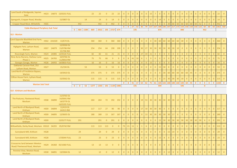| Land South of Bridgeside, Squires<br>Gate                             |             |             | HS23 1A873 13/0231 FULL               |                                        | 22   | 22   | $\overline{0}$ | 22                        | 22             | $\overline{0}$ | $\overline{0}$   | $\overline{0}$ | $\overline{0}$                    | $\overline{0}$ | $\overline{0}$ | 15              |                 | $\overline{0}$  | $\overline{0}$  | $\overline{0}$                                                                      | $\overline{0}$  | $\overline{0}$ | $\overline{0}$    | $\overline{0}$ | $\overline{0}$ | $\overline{0}$ | $\overline{0}$      | $\overline{0}$ | $\overline{0}$          | $\overline{0}$ | 22   | $\overline{0}$  |
|-----------------------------------------------------------------------|-------------|-------------|---------------------------------------|----------------------------------------|------|------|----------------|---------------------------|----------------|----------------|------------------|----------------|-----------------------------------|----------------|----------------|-----------------|-----------------|-----------------|-----------------|-------------------------------------------------------------------------------------|-----------------|----------------|-------------------|----------------|----------------|----------------|---------------------|----------------|-------------------------|----------------|------|-----------------|
| Spengarth, Cropper Road, Westby                                       |             |             | 15/0807 OL                            | 14                                     |      | 14   | $\overline{0}$ | 14                        | $\overline{0}$ | $\overline{0}$ | $\overline{0}$   | $\overline{0}$ | $\overline{0}$                    | $\overline{0}$ | $\overline{0}$ | $\Omega$        | $\overline{0}$  | 14              | $\overline{0}$  | $\overline{0}$                                                                      | $\theta$        | $\overline{0}$ | $\overline{0}$    | $\overline{0}$ | $\overline{0}$ | $\overline{0}$ |                     | $\overline{0}$ |                         | $\Omega$       | 14   | $\overline{0}$  |
| <b>Cropper Road West, Whitehills</b>                                  | HSS5        |             |                                       | 442                                    |      | 442  | $\overline{0}$ | 442                       | $\overline{0}$ | $\overline{0}$ | $\Omega$         | $\overline{0}$ | $\overline{0}$                    | $\overline{0}$ | $\overline{0}$ |                 | $\overline{0}$  | $\overline{0}$  | $\overline{0}$  | 30                                                                                  | 60              | 60             | 60                | 60             | 60             |                | $60$ 52             | $\overline{0}$ | $\overline{0}$          | $\overline{0}$ | 442  | $\overline{0}$  |
|                                                                       |             |             |                                       |                                        |      |      |                |                           |                | $\mathbf{0}$   | $\mathbf{0}$     | 27             | 53                                | 36             | 79             |                 |                 |                 |                 | $\vert$ 137 $\vert$ 167 $\vert$ 189 $\vert$ 185 $\vert$ 197 $\vert$ 217 $\vert$ 173 |                 |                |                   |                |                |                | 150 150 150 150 122 |                | 60   60   60            |                |      | 2362 560        |
| <b>Fylde-Blackpool Periphery Sub Total</b>                            |             |             |                                       | 464<br>1589<br>$\overline{\mathbf{0}}$ | 869  | 2922 |                | $195$ 2727 674            |                |                |                  | 195            |                                   |                |                |                 |                 | 875             |                 |                                                                                     |                 |                | 840               |                |                |                |                     | 452            |                         |                |      |                 |
| <b>SL3 - Warton</b>                                                   |             |             |                                       |                                        |      |      |                |                           |                |                |                  |                |                                   |                |                |                 |                 |                 |                 |                                                                                     |                 |                |                   |                |                |                |                     |                |                         |                |      |                 |
| Land Opposite Blackfield End Farm,<br>Warton                          |             | HSS2 2A1020 | 13/674 OL                             |                                        | 360  | 360  | $\overline{0}$ | 360                       | 360            | $\overline{0}$ | $\overline{0}$   | $\overline{0}$ | $\overline{0}$                    | $\overline{0}$ | $\overline{0}$ | $\Omega$        | 30 <sup>1</sup> |                 | 60 60           | 60                                                                                  | 60              | 60             | 30                | $\overline{0}$ | $\overline{0}$ | $0-1$          | $\overline{0}$      | $\overline{0}$ | $\overline{0}$          | $\overline{0}$ | 360  | $\overline{0}$  |
| Highgate Park, Lytham Road,<br>Warton                                 | HSS7        | 2A879       | 12/0550 OL<br>13/0786 RM<br>15/706 RM |                                        | 254  | 254  | 64             | 190                       | 190            | $\overline{0}$ | $\overline{0}$   | $\overline{0}$ | $\overline{7}$                    | 30             | 27             | 30              |                 | 30 30 30        |                 | 30 <sup>°</sup>                                                                     | 30              | 10             | $\overline{0}$    | $\overline{0}$ | $\overline{0}$ | $\overline{0}$ | $\Omega$            | $\overline{0}$ | $\overline{0}$          | $\overline{0}$ | 254  | $\overline{0}$  |
| Riversleigh Farm, Warton                                              | <b>HS24</b> | 2A985       | 13/0526 FULL                          |                                        | 82   | 82   | 61             | 21                        | 21             | $\overline{0}$ | $\Omega$         | $\overline{0}$ | $\overline{0}$                    | 27             | 34             | 21              | $\overline{0}$  | $\overline{0}$  | $\overline{0}$  | $\overline{0}$                                                                      | $\overline{0}$  | $\overline{0}$ | $\overline{0}$    | $\Omega$       | $\Omega$       | $\overline{0}$ | $\Omega$            | $\overline{0}$ | $\Omega$                | $\Omega$       | 82   | $\overline{0}$  |
| Nine Acres Nursery, Harbour Lane<br>Phase 1                           | <b>HS25</b> | 2A765       | 10/0766 OL<br>11/0816 RM              |                                        | 75   | 75   | 66             | 9 <sup>°</sup>            | 9 <sup>°</sup> | $\overline{0}$ | 8 <sup>°</sup>   | 41             | 10 <sup>1</sup>                   | 6              |                | <sup>9</sup>    | $\overline{0}$  | $\overline{0}$  | $\Omega$        | $\overline{0}$                                                                      |                 | $\overline{0}$ | $\overline{0}$    | $\Omega$       | $\overline{0}$ | $\Omega$       |                     | $\overline{0}$ |                         |                | 75   | $\overline{0}$  |
| <b>Georges Garage, Warton</b>                                         | <b>HS26</b> | 2A955       | 14/0833 FULL                          |                                        | 16   | 16   | $\overline{0}$ | 16                        | 16             | $\overline{0}$ | $\Omega$         | $\overline{0}$ | $\overline{0}$                    | $\overline{0}$ | $\overline{0}$ | 15              |                 | $\overline{0}$  | $\overline{0}$  | $\overline{0}$                                                                      | $\overline{0}$  | $\overline{0}$ | $\overline{0}$    | $\overline{0}$ | $\overline{0}$ | $\overline{0}$ | $\overline{0}$      | $\overline{0}$ | $\overline{0}$          | $\overline{0}$ | 16   | $\overline{0}$  |
| <b>Oaklands Caravan Park, 252</b><br>Lytham Road, Warton              | <b>HS27</b> |             | 15/194 OL                             | 53                                     |      | 53   | $\overline{0}$ | 53                        | $\overline{0}$ | $\overline{0}$ | $\overline{0}$   | $\overline{0}$ | $\overline{0}$                    | $\Omega$       | $\overline{0}$ | $\Omega$        | $\overline{0}$  | 15              | 30 <sup>°</sup> | 8 <sup>°</sup>                                                                      |                 | $\overline{0}$ | $\overline{0}$    | $\overline{0}$ | $\overline{0}$ | $\overline{0}$ | $\Omega$            | $\overline{0}$ |                         |                | 53   | $\overline{0}$  |
| Land North of Freckleton Bypass,<br>Warton                            |             |             | 14/0410 OL                            |                                        | 375  | 375  | $\overline{0}$ | 375 375                   |                | $\overline{0}$ | $\overline{0}$   | $\overline{0}$ | $\overline{0}$                    | $\Omega$       | $\Omega$       | $\Omega$        | $\overline{0}$  | $\overline{0}$  | 30 <sup>°</sup> | 60                                                                                  | 60              | 60             | 60                | 60             | 45             | $\overline{0}$ | $\Omega$            | $\overline{0}$ |                         | $\Omega$       | 375  | $\overline{0}$  |
| Clifton House Farm, Lytham Road,<br>Warton                            |             |             | 15/0562 OL                            |                                        | 115  | 115  | $\overline{0}$ |                           | 115 115        | $\overline{0}$ | $\overline{0}$   | $\overline{0}$ | $\overline{0}$                    | $\overline{0}$ | $\overline{0}$ | $\overline{0}$  | $\overline{0}$  | $\overline{0}$  | 15 <sup>1</sup> | 30                                                                                  | 30 <sup>°</sup> |                | $30 \mid 10 \mid$ | $\overline{0}$ | $\overline{0}$ | $\overline{0}$ | $\overline{0}$      | $\overline{0}$ | $\overline{0}$          | $\overline{0}$ | 115  | $\overline{0}$  |
| <b>Warton Sub Total</b>                                               |             |             |                                       |                                        |      |      |                |                           |                | $\mathbf{0}$   | $\boldsymbol{8}$ | 41             | 17                                | $63 \mid 62$   |                | 75              | 61              |                 |                 | 105 165 188 180 160 100 60 45                                                       |                 |                |                   |                |                |                | $0$ 0               | $\mathbf{0}$   | $\overline{\mathbf{0}}$ | $\mathbf{0}$   | 1330 | $\vert 0 \vert$ |
|                                                                       |             |             |                                       | $\mathbf{0}$<br>53<br>$\mathbf{0}$     | 1277 | 1330 |                | $191 \mid 1139 \mid 1086$ |                |                |                  | 191            |                                   |                |                |                 |                 | 594             |                 |                                                                                     |                 |                | 545               |                |                |                |                     | $\mathbf{0}$   |                         |                |      |                 |
| <b>SL4 - Kirkham and Wesham</b>                                       |             |             |                                       |                                        |      |      |                |                           |                |                |                  |                |                                   |                |                |                 |                 |                 |                 |                                                                                     |                 |                |                   |                |                |                |                     |                |                         |                |      |                 |
| The Pastures, Fleetwood Road,<br>Wesham                               | HSS8        | 3A890       | 11/0763 OL<br>14/0041 RM              |                                        |      |      |                |                           |                |                |                  |                |                                   |                |                |                 |                 |                 |                 |                                                                                     |                 |                |                   |                |                |                |                     |                |                         |                |      |                 |
| Land North of Blackpool Road,                                         |             |             | 14/0779 OL<br>16/0195 FULL            |                                        | 264  | 264  | 72             |                           | 192 192        | $\overline{0}$ | $\overline{0}$   | $\overline{0}$ | 0 19 53 30 30 30 30 30 30 30 12 0 |                |                |                 |                 |                 |                 |                                                                                     |                 |                |                   | $\overline{0}$ | $\overline{0}$ | $\overline{0}$ | $\theta$            | $\overline{0}$ | $\overline{0}$          | $\overline{0}$ | 264  | $\overline{0}$  |
| Kirkham                                                               |             | HSS9 3A894  | 12/419 OL<br>14/613 RM                |                                        | 117  | 117  | 27             | 90                        | 90             | $\overline{0}$ | $\overline{0}$   | $\overline{0}$ | $\overline{0}$                    | 17             | 10             | 30 <sup>°</sup> | 30              | 30 <sup>1</sup> | $\overline{0}$  | $\overline{0}$                                                                      |                 | $\overline{0}$ | $\overline{0}$    | $\overline{0}$ | $\overline{0}$ | $\overline{0}$ |                     | $\overline{0}$ |                         | $\overline{0}$ | 117  | $\overline{0}$  |
| Land North of Blackpool Road,<br>Kirkham                              | HSS9        | 3A895       | 12/0635 OL                            |                                        | 180  | 180  | 13             |                           | 167 167        | $\overline{0}$ | $\overline{0}$   | $\overline{0}$ | $\overline{0}$                    | $\overline{0}$ | 13             | 30              | 30              | 30              | 30 <sup>1</sup> | 30 <sup>1</sup>                                                                     | 17              | $\overline{0}$ | $\overline{0}$    | $\Omega$       | $\overline{0}$ | $\Omega$       |                     | $\overline{0}$ |                         | $\Omega$       | 180  | $\overline{0}$  |
| Land North of Blackpool Road,<br>Kirkham                              | HSS9        |             | 15/0177 FULL                          | 291                                    |      | 291  | $\overline{0}$ | 291                       | $\overline{0}$ | $\overline{0}$ | $\overline{0}$   | $\overline{0}$ | $\overline{0}$                    | $\overline{0}$ | $\overline{0}$ |                 | $\overline{0}$  | 15              |                 | $30 \mid 30 \mid$                                                                   | 30              |                |                   |                | 30 30 30 30    |                | $30 \mid 30$        | 6              | $\overline{0}$          | $\overline{0}$ | 291  | $\overline{0}$  |
| Willowfields, Derby Road, Wesham HSS10 3A355                          |             |             | 05/0742 RM                            |                                        | 113  | 113  | 113            | $\overline{0}$            | $\overline{0}$ | 73             | 21               | 11             |                                   |                | 6 <sup>1</sup> | $\Omega$        | $\overline{0}$  | $\overline{0}$  | $\overline{0}$  | $\overline{0}$                                                                      | $\overline{0}$  | $\overline{0}$ | $\overline{0}$    | $\overline{0}$ | $\overline{0}$ | $\overline{0}$ |                     | $\overline{0}$ |                         | $\overline{0}$ | 113  | $\overline{0}$  |
| Sunnybank Mill, Kirkham                                               | <b>HS28</b> |             |                                       | 29                                     |      | 29   | $\overline{0}$ | 29                        | $\overline{0}$ |                |                  | $\overline{0}$ | $\overline{0}$                    |                | $\overline{0}$ | $\Omega$        | $\overline{0}$  | $\overline{0}$  | $\overline{0}$  | 15                                                                                  | 14              | $\overline{0}$ | $\overline{0}$    | $\overline{0}$ | $\overline{0}$ | $\overline{0}$ |                     | $\overline{0}$ |                         |                | 29   | $\overline{0}$  |
| Sunnybank Mill, Kirkham                                               | <b>HS28</b> |             | 17/0044 FULL                          | 23                                     |      | 23   | $\overline{0}$ | 23                        | $\overline{0}$ | $\overline{0}$ | $\overline{0}$   | $\overline{0}$ | $\overline{0}$                    | $\overline{0}$ | $\overline{0}$ | $\Omega$        | $\overline{0}$  | 15              | 8 <sup>°</sup>  | $\overline{0}$                                                                      | $\overline{0}$  | $\overline{0}$ | $\overline{0}$    | $\overline{0}$ | $\overline{0}$ | $0-1$          | $\overline{0}$      | $\overline{0}$ |                         | $\Omega$       | 23   | $\overline{0}$  |
| <b>Crossacres land between Weeton</b><br>Road/ Fleetwood Road, Wesham | <b>HS29</b> |             | 3A360 05/1060 FULL                    |                                        | 13   | 13   | 13             | $\overline{0}$            | $\overline{0}$ | 9              | $\overline{0}$   | $\overline{0}$ | $\overline{0}$                    | $\overline{0}$ | $\overline{4}$ | $\Omega$        | $\overline{0}$  | $\overline{0}$  | $\overline{0}$  | $\overline{0}$                                                                      | $\theta$        | $\overline{0}$ | $\overline{0}$    | $\overline{0}$ | $\overline{0}$ | $\overline{0}$ |                     | $\overline{0}$ | $\Omega$                | $\Omega$       | 13   | $\overline{0}$  |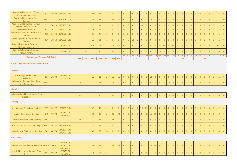| Former Fylde Council Offices,<br>Derby Road, Wesham   |             |            | HS31 3A897 13/0449 FULL                |                                      | 24  | 24   | 24             | $\overline{0}$  | $\overline{0}$ | $\overline{0}$ | $\overline{0}$ | $\overline{0}$ | $\mathbf{1}$   | $\overline{7}$ | 16                                                | $\overline{0}$ | $\overline{0}$ | $\overline{0}$  | $\overline{0}$  | $\overline{0}$  | $\overline{0}$  | $\overline{0}$ | $\overline{0}$ | $\overline{0}$ | $\overline{0}$ | $\overline{0}$ | $\overline{0}$ | $\overline{0}$ | $\overline{0}$          | $\overline{0}$          | 24              | $\overline{0}$ |
|-------------------------------------------------------|-------------|------------|----------------------------------------|--------------------------------------|-----|------|----------------|-----------------|----------------|----------------|----------------|----------------|----------------|----------------|---------------------------------------------------|----------------|----------------|-----------------|-----------------|-----------------|-----------------|----------------|----------------|----------------|----------------|----------------|----------------|----------------|-------------------------|-------------------------|-----------------|----------------|
| West End Residential Park,<br>Kirkham                 | <b>HS32</b> |            | 12/0376 COU                            |                                      | 27  | 27   | $\overline{0}$ | 27              | 27             | $\overline{0}$ | $\overline{0}$ | $\overline{0}$ | $\overline{0}$ | $\overline{0}$ | $\overline{0}$                                    | 15             | 12             | $\overline{0}$  | $\overline{0}$  | $\overline{0}$  | $\overline{0}$  | $\overline{0}$ | $\overline{0}$ | $\overline{0}$ | $\mathbf{0}$   | $\overline{0}$ | $\overline{0}$ | $\overline{0}$ | $\overline{0}$          | $\overline{0}$          | 27              | $\overline{0}$ |
| Arundel Lodge Nursing Home, 1                         | <b>HS33</b> |            | 3A819 12/0700 FULL                     |                                      | 11  | 11   | 11             | $\overline{0}$  | $\overline{0}$ | $\overline{0}$ | $\overline{0}$ | $\overline{0}$ | $\overline{0}$ | 11             | $\overline{0}$                                    | $\overline{0}$ | $\overline{0}$ | $\overline{0}$  | $\overline{0}$  | $\overline{0}$  | $\overline{0}$  | $\overline{0}$ | $\overline{0}$ | $\overline{0}$ | $\mathbf{0}$   | $\overline{0}$ | $\overline{0}$ | $\overline{0}$ | $\overline{0}$          | $\overline{0}$          | 11              | $\overline{0}$ |
| <b>Station Road, Wesham</b><br>Crossroads, Kirkham    | <b>HS34</b> | 3A231      | 08/0891 FULL                           |                                      | 12  | 12   | 12             | $\overline{0}$  | $\overline{0}$ | 12             | $\overline{0}$ | $\overline{0}$ | $\overline{0}$ | $\Omega$       | $\Omega$                                          | $\overline{0}$ | $\mathbf{0}$   | $\overline{0}$  | $\mathbf{0}$    | $\overline{0}$  | $\overline{0}$  | $\Omega$       | $\overline{0}$ | 0              | $\overline{0}$ | $\overline{0}$ | $\overline{0}$ | $\overline{0}$ | $\overline{0}$          | $\overline{0}$          | 12              | $\overline{0}$ |
| Henthorne Builders, Orders Lane,                      |             |            |                                        |                                      |     |      |                |                 |                |                |                |                |                |                |                                                   |                |                |                 |                 |                 |                 |                |                |                |                |                |                |                |                         |                         |                 |                |
| Kirkham                                               | <b>HS35</b> |            | 3A744 09/0822 FULL                     |                                      | 26  | 26   | 26             | $\overline{0}$  | $\overline{0}$ | $\overline{0}$ | 26             | $\overline{0}$ | $\overline{0}$ | $\overline{0}$ | $\overline{0}$                                    | $\overline{0}$ | $\overline{0}$ | $\overline{0}$  | $\overline{0}$  | $\overline{0}$  | $\overline{0}$  | $\overline{0}$ | $\overline{0}$ | $\overline{0}$ | $\overline{0}$ | $\overline{0}$ | $\overline{0}$ | $\overline{0}$ | $\overline{0}$          | $\overline{0}$          | 26              | $\overline{0}$ |
| St Georges Hotel, Station Road,<br>Kirkham            | <b>HS36</b> |            | 3A818 12/0505 FULL                     |                                      | 11  | 11   | 11             | $\overline{0}$  | $\overline{0}$ | $\overline{0}$ | $\overline{0}$ | 11             | $\overline{0}$ | $\overline{0}$ | $\overline{0}$                                    | $\overline{0}$ | $\overline{0}$ | $\overline{0}$  | $\overline{0}$  | $\overline{0}$  | $\overline{0}$  | $\overline{0}$ | $\overline{0}$ | $\overline{0}$ | $\overline{0}$ | $\overline{0}$ | $\overline{0}$ | $\overline{0}$ | $\overline{0}$          | $\overline{0}$          | 11              | $\overline{0}$ |
| Land at Brookfarm, Dowbridge,                         |             |            | 15/0547 OL                             |                                      | 170 | 170  | $\overline{0}$ | 170 170         |                | $\overline{0}$ | $\overline{0}$ | $\overline{0}$ | $\overline{0}$ | $\mathbf{0}$   | $\overline{0}$                                    | $\overline{0}$ | $15-1$         | 30 <sup>1</sup> | 30 <sup>°</sup> | 30 <sup>°</sup> | 30              | 30             | 5 <sub>o</sub> | $\overline{0}$ | $\Omega$       | $\Omega$       | $\Omega$       | $\overline{0}$ | $\overline{0}$          | $\overline{0}$          | 170             | $\overline{0}$ |
| Kirkham (Newton)                                      |             |            |                                        |                                      |     |      |                |                 |                |                |                |                |                |                |                                                   |                |                |                 |                 |                 |                 |                |                |                |                |                |                |                |                         |                         |                 |                |
| <b>Campbells Caravans, Blackpool</b><br>Road, Kirkham |             |            | 16/0112 OL                             | 30                                   |     | 30   | $\overline{0}$ | 30              | $\overline{0}$ | $\overline{0}$ | $\overline{0}$ | $\overline{0}$ | $\overline{0}$ | $\overline{0}$ | $\overline{0}$                                    | $\overline{0}$ | $\overline{0}$ | 15              | 15              | $\overline{0}$  | $\overline{0}$  | $\overline{0}$ | $\overline{0}$ | $\overline{0}$ | $\overline{0}$ | $\overline{0}$ | $\overline{0}$ | $\overline{0}$ | $\overline{0}$          | $\overline{0}$          | 30              | $\overline{0}$ |
|                                                       |             |            |                                        |                                      |     |      |                |                 |                | 94             | 47             | 22             | $\overline{2}$ |                | 55   102   105   117   165   143   147   121   72 |                |                |                 |                 |                 |                 |                |                |                | 35 30 30       |                | 30 30          | 6 <sup>1</sup> | $\overline{\mathbf{0}}$ | $\overline{\mathbf{0}}$ | 1353            | $\bullet$      |
| <b>Kirkham and Wesham Sub Total</b>                   |             |            |                                        | 355<br>30<br>$\overline{\mathbf{0}}$ | 968 | 1353 |                | 322  1031   646 |                |                |                | 322            |                |                |                                                   |                |                | 677             |                 |                 |                 |                | 288            |                |                |                |                | 66             |                         |                         |                 |                |
| <b>Non Strategic Locations for Development</b>        |             |            |                                        |                                      |     |      |                |                 |                |                |                |                |                |                |                                                   |                |                |                 |                 |                 |                 |                |                |                |                |                |                |                |                         |                         |                 |                |
| Freckleton                                            |             |            |                                        |                                      |     |      |                |                 |                |                |                |                |                |                |                                                   |                |                |                 |                 |                 |                 |                |                |                |                |                |                |                |                         |                         |                 |                |
| The Refuge, Ruskin Road,<br>Freckleton                |             | HS37 2A880 | 13/0262 OL<br>16/0609 FULL             |                                      | 11  | 11   | $\overline{0}$ | 11              | <b>11</b>      | $\overline{0}$ | $\overline{0}$ | $\overline{0}$ | $\overline{0}$ | $\overline{0}$ | $\overline{0}$                                    | 11             | $\overline{0}$ | $\overline{0}$  | $\bf{0}$        | $\overline{0}$  | $\overline{0}$  | $\overline{0}$ | $\overline{0}$ | $\overline{0}$ | $\overline{0}$ | $\overline{0}$ | $\overline{0}$ | $\overline{0}$ | $\overline{0}$          | $\overline{0}$          | 11              | $\overline{0}$ |
| Land rear of High Meadows, Lower<br>Lane, Freckleton  | <b>HS38</b> |            |                                        | 13                                   |     | 13   | $\Omega$       | 13              | $\overline{0}$ | $\overline{0}$ | $\overline{0}$ | $\overline{0}$ | $\overline{0}$ | $\Omega$       | $\overline{0}$                                    | $\overline{0}$ | $\overline{0}$ | $\overline{0}$  | $\overline{0}$  | 13              | $\overline{0}$  | $\overline{0}$ | $\overline{0}$ | $\overline{0}$ | $\mathbf{0}$   | $\overline{0}$ | $\overline{0}$ | $\overline{0}$ | $\overline{0}$          | $\overline{0}$          | 13              | $\overline{0}$ |
| <b>Elswick</b>                                        |             |            |                                        |                                      |     |      |                |                 |                |                |                |                |                |                |                                                   |                |                |                 |                 |                 |                 |                |                |                |                |                |                |                |                         |                         |                 |                |
| Neighbourhood Development Plan<br>allocation          |             |            |                                        | 50                                   |     | 50   | $\Omega$       | 50              | $\overline{0}$ | $\overline{0}$ | $\overline{0}$ | $\overline{0}$ | $\overline{0}$ | $\Omega$       | $\overline{0}$                                    | $\overline{0}$ | $\overline{0}$ | $\overline{0}$  | $\Omega$        | 15              | 30 <sup>°</sup> | 5 <sup>1</sup> | $\overline{0}$ | $\Omega$       | $\Omega$       | $\Omega$       | $\overline{0}$ | $\Omega$       | $\Omega$                | $\overline{0}$          | 50              | $\overline{0}$ |
| <b>Staining</b>                                       |             |            |                                        |                                      |     |      |                |                 |                |                |                |                |                |                |                                                   |                |                |                 |                 |                 |                 |                |                |                |                |                |                |                |                         |                         |                 |                |
| Land South of Chain Lane, Staining HS39 4A977         |             |            | 12/0765 FULL                           |                                      | 42  | 42   | 42             | $\overline{0}$  | $\overline{0}$ | $\overline{0}$ | $\overline{0}$ | $\overline{0}$ | $\overline{0}$ | 19             | 23                                                | $\overline{0}$ | $\overline{0}$ | $\overline{0}$  | $\overline{0}$  | $\overline{0}$  | $\overline{0}$  | $\overline{0}$ | $\overline{0}$ | $\overline{0}$ | $\overline{0}$ | $0-1$          | $\overline{0}$ | $\overline{0}$ | $\overline{0}$          | $\overline{0}$          | 42              | $\overline{0}$ |
| Land at Kings Close, Staining                         |             | HS40 4A978 | 13/0590 OL<br>15/0901 RM               |                                      | 30  | 30   | $\overline{0}$ | 30              | 30             | $\overline{0}$ | $\overline{0}$ | $\overline{0}$ | $\overline{0}$ | $\overline{0}$ | $\overline{0}$                                    | 15             | 15             | $\overline{0}$  | $\overline{0}$  | $\overline{0}$  | $\overline{0}$  | $\overline{0}$ | $\overline{0}$ | $\overline{0}$ | $\overline{0}$ | $\overline{0}$ | $\overline{0}$ | $\overline{0}$ | $\overline{0}$          | $\overline{0}$          | 30              | $\overline{0}$ |
| <b>Thornfield Caravan Park, Staining</b>              | <b>HS41</b> |            |                                        | 28                                   |     | 28   | $\overline{0}$ | 28              | $\overline{0}$ | $\overline{0}$ | $\overline{0}$ | $\overline{0}$ | $\overline{0}$ | $\overline{0}$ | $\overline{0}$                                    | $\overline{0}$ | $\overline{0}$ | $\overline{0}$  | $\overline{0}$  | 15              | 13              | $\overline{0}$ | $\overline{0}$ | $\mathbf{0}$   | $\overline{0}$ | $\overline{0}$ | $\overline{0}$ | $\overline{0}$ | $\overline{0}$          | $\overline{0}$          | 28              | $\overline{0}$ |
| Baines Farm, Mill Lane, Staining                      |             |            | HS42 4A752 08/0716 FULL                |                                      | 11  | 11   | 11             | $\overline{0}$  | $\overline{0}$ | $\mathbf{1}$   | 10             | $\overline{0}$ | $\overline{0}$ | $\overline{0}$ | $\overline{0}$                                    | $\overline{0}$ | $\overline{0}$ | $\overline{0}$  |                 | $\overline{0}$  | $\overline{0}$  | $\overline{0}$ | $\overline{0}$ | $\overline{0}$ | $\overline{0}$ | $\Omega$       | $\Omega$       | $\overline{0}$ | $\overline{0}$          | $\overline{0}$          | 11              | $\overline{0}$ |
| Land Adj to 18 Chain Lane, Staining HS43 4A774        |             |            | 11/0131 FULL<br>13/0470 FULL           |                                      | 30  | 30   | 30             | $\overline{0}$  | $\overline{0}$ | $\overline{0}$ | $\mathbf{1}$   |                | $18$ 11        | $\overline{0}$ | $\overline{0}$                                    | $\overline{0}$ | $\overline{0}$ | $\overline{0}$  | $\overline{0}$  | $\overline{0}$  | $\overline{0}$  | $\overline{0}$ | $\overline{0}$ | $\overline{0}$ | $\overline{0}$ | $0-1$          | $\overline{0}$ | $\overline{0}$ | $\overline{0}$          | $\overline{0}$          | 30 <sup>°</sup> | $\overline{0}$ |
| <b>Wrea Green</b>                                     |             |            |                                        |                                      |     |      |                |                 |                |                |                |                |                |                |                                                   |                |                |                 |                 |                 |                 |                |                |                |                |                |                |                |                         |                         |                 |                |
| Land off Willow Drive, Wrea Green HSS11 4A1037        |             |            | 15/0458 OL<br>14/0302 OL<br>16/0280 RM |                                      | 86  | 86   | $\overline{0}$ | 86              | 86             | $\overline{0}$ | $\overline{0}$ | $\overline{0}$ | $\overline{0}$ | $\overline{0}$ | $\overline{0}$                                    | 15             |                | 30 30           | 11              | $\overline{0}$  | $\overline{0}$  | $\overline{0}$ | $\overline{0}$ | $\overline{0}$ | $\overline{0}$ | $\overline{0}$ | $\overline{0}$ | $\overline{0}$ | $\overline{0}$          | $\overline{0}$          | 86              | $\overline{0}$ |
| Land Adj Richmond Avenue, Wrea<br>Green               |             | HS44 4A822 | 12/0408 OL<br>13/0097 RM               |                                      | 54  | 54   | 52             | $\overline{2}$  | $\overline{2}$ | $\overline{0}$ | $\overline{0}$ | $\overline{0}$ | 5 <sub>1</sub> | 29             | 18                                                | $\overline{2}$ | $\overline{0}$ | $\overline{0}$  | $\overline{0}$  | $\overline{0}$  | $\overline{0}$  | $\overline{0}$ | $\overline{0}$ | $\overline{0}$ | $\overline{0}$ | $\overline{0}$ | $\overline{0}$ | $\overline{0}$ | $\overline{0}$          | $\overline{0}$          | 54              | $\overline{0}$ |
|                                                       |             |            |                                        |                                      |     |      |                |                 |                |                |                |                |                |                |                                                   |                |                |                 |                 |                 |                 |                |                |                |                |                |                |                |                         |                         |                 |                |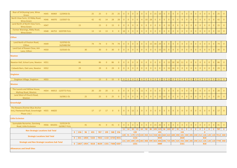| Rear of 54 Bryning Lane, Wrea<br>Green                                                                  |             |             | HS45 4A969 12/0456 OL      |              |                 |                 | 25  | 25                       | $\overline{0}$ | 25             | 25             | $\overline{0}$ | $\overline{0}$ | $\overline{0}$ | $\overline{0}$ | $\overline{0}$ | $\overline{0}$ | $\overline{0}$ | 15             | 10             | $\overline{0}$ | $\overline{0}$ | $\overline{0}$  | $\mathbf{0}$    | $\overline{0}$ | $\overline{0}$ | $\Omega$                | $\overline{0}$ | $\overline{0}$ | $\overline{0}$           | $\overline{0}$ |                | 25  |                                                                                                                                          |
|---------------------------------------------------------------------------------------------------------|-------------|-------------|----------------------------|--------------|-----------------|-----------------|-----|--------------------------|----------------|----------------|----------------|----------------|----------------|----------------|----------------|----------------|----------------|----------------|----------------|----------------|----------------|----------------|-----------------|-----------------|----------------|----------------|-------------------------|----------------|----------------|--------------------------|----------------|----------------|-----|------------------------------------------------------------------------------------------------------------------------------------------|
| North View Farm, 22 Ribby Road,<br><b>Wrea Green</b>                                                    |             |             | HS46 4A970 13/0507 OL      |              |                 |                 | 42  | 42                       | 14             | 28             | 28             | $\overline{0}$ | $\overline{0}$ | $\overline{0}$ | $\overline{0}$ | $\overline{4}$ | 10             | 28             | $\overline{0}$ | $\overline{0}$ | $\overline{0}$ | $\overline{0}$ | $\overline{0}$  | $\mathbf{0}$    | $\overline{0}$ | $\overline{0}$ | $\overline{0}$          | $\overline{0}$ | $\overline{0}$ | $\overline{0}$           | $\overline{0}$ | $\overline{0}$ | 42  | $\overline{0}$                                                                                                                           |
| Land North of North View Farm,<br><b>Wrea Green</b>                                                     | <b>HS47</b> |             |                            |              | 15              |                 |     | 15                       | $\overline{0}$ | 15             | $\overline{0}$ | $\overline{0}$ | $\overline{0}$ | $\overline{0}$ | $\overline{0}$ | $\overline{0}$ | $\overline{0}$ | $\overline{0}$ | $\overline{0}$ | $\overline{0}$ | $\overline{0}$ | 15             | $\overline{0}$  | $\overline{0}$  | $\overline{0}$ | $\overline{0}$ | $\overline{0}$          | $\overline{0}$ | $\Omega$       | $\overline{0}$           | $\overline{0}$ | $\Omega$       | 15  | $\overline{0}$                                                                                                                           |
| Former Wareings, Ribby Road,<br><b>Wrea Green</b>                                                       |             |             | HS48 4A753 10/0709 FULL    |              |                 |                 | 13  | 13                       | 13             | $\overline{0}$ | $\overline{0}$ | 10             | 3 <sup>°</sup> | $\overline{0}$ | $\overline{0}$ | $\overline{0}$ | $\overline{0}$ | $\overline{0}$ | $\overline{0}$ | $\overline{0}$ | $\overline{0}$ | $\overline{0}$ | $\overline{0}$  | $\overline{0}$  | $\overline{0}$ | $\overline{0}$ | $\overline{0}$          | $\overline{0}$ | $\overline{0}$ | $\overline{0}$           | $\overline{0}$ | $\overline{0}$ | 13  | $\overline{0}$                                                                                                                           |
| <b>Clifton</b>                                                                                          |             |             |                            |              |                 |                 |     |                          |                |                |                |                |                |                |                |                |                |                |                |                |                |                |                 |                 |                |                |                         |                |                |                          |                |                |     |                                                                                                                                          |
| Land North of Preston Road,<br>Clifton                                                                  | <b>HS49</b> |             | 15/0763 OL<br>16/0488 RM   |              |                 |                 | 74  | 74                       | $\overline{0}$ | 74             | 74             | $\overline{0}$ | $\overline{0}$ | $\overline{0}$ | $\overline{0}$ | $\overline{0}$ | $\overline{0}$ | 15             | 30             | 29             | $\overline{0}$ | $\overline{0}$ | $\overline{0}$  | $\overline{0}$  | $\overline{0}$ | $\overline{0}$ | $\overline{0}$          | $\overline{0}$ | $\overline{0}$ | $\overline{0}$           | $\overline{0}$ | $\overline{0}$ | 74  | $\overline{0}$                                                                                                                           |
| Land East of Rowan Close, Ash<br>Lane, Clifton                                                          | <b>HS50</b> |             | 15/0165 OL                 |              |                 | 30 <sup>°</sup> |     | 30                       | $\mathbf{0}$   | 30             | $\overline{0}$ | $\overline{0}$ | $\overline{0}$ | $\overline{0}$ | $\overline{0}$ | $\overline{0}$ | $\overline{0}$ | $\overline{0}$ | $\overline{0}$ | 15             | 15             | $\overline{0}$ | $\overline{0}$  | $\mathbf{0}$    | $\overline{0}$ | $\overline{0}$ | $\Omega$                | $\overline{0}$ | $\overline{0}$ | $\overline{0}$           | $\overline{0}$ | $\overline{0}$ | 30  | $\overline{0}$                                                                                                                           |
| <b>Newton</b>                                                                                           |             |             |                            |              |                 |                 |     |                          |                |                |                |                |                |                |                |                |                |                |                |                |                |                |                 |                 |                |                |                         |                |                |                          |                |                |     |                                                                                                                                          |
| Newton Hall, School Lane, Newton HS51                                                                   |             |             |                            |              | 86              |                 |     | 86                       | $\overline{0}$ | 86             | $\overline{0}$ | $\overline{0}$ | $\overline{0}$ | $\overline{0}$ | $\overline{0}$ | $\overline{0}$ | $\overline{0}$ | $\overline{0}$ | $\overline{0}$ | $\overline{0}$ | $\overline{0}$ | 15             | 30 <sup>°</sup> | 30 <sup>°</sup> | 11             | $\overline{0}$ | $\overline{0}$          | $\overline{0}$ | $\overline{0}$ | $\overline{0}$           | $\overline{0}$ | $\overline{0}$ | 86  | $\overline{0}$                                                                                                                           |
| Cobweb Barn, Oak Lane, Newton HS52                                                                      |             |             |                            |              | 29              |                 |     | 29                       | $\overline{0}$ | 29             | $\overline{0}$ | $\overline{0}$ | $\overline{0}$ | $\overline{0}$ | $\overline{0}$ | $\overline{0}$ | $\overline{0}$ | $\overline{0}$ | $\overline{0}$ | $\overline{0}$ | $\overline{0}$ | 15             | 14              | $\overline{0}$  | $\overline{0}$ | $\overline{0}$ | $\overline{0}$          | $\overline{0}$ | $\overline{0}$ | $\overline{0}$           | $\overline{0}$ | $\Omega$       | 29  | $\overline{0}$                                                                                                                           |
| <b>Singleton</b>                                                                                        |             |             |                            |              |                 |                 |     |                          |                |                |                |                |                |                |                |                |                |                |                |                |                |                |                 |                 |                |                |                         |                |                |                          |                |                |     |                                                                                                                                          |
| Singleton Village, Singleton                                                                            | <b>HS53</b> |             |                            |              | 15              |                 |     | 15                       | $\overline{0}$ | 15             | $\overline{0}$ | $\overline{0}$ | $\overline{0}$ | $\overline{0}$ | $\overline{0}$ | $\overline{0}$ | $\overline{0}$ | $\theta$       | $\overline{0}$ | $\overline{0}$ | $\overline{0}$ | 15             | $\Omega$        | $\Omega$        | $\overline{0}$ | $\overline{0}$ | $\overline{0}$          | $\Omega$       | $\Omega$       | $\overline{0}$           | $\overline{0}$ |                | 15  |                                                                                                                                          |
| <b>Weeton</b>                                                                                           |             |             |                            |              |                 |                 |     |                          |                |                |                |                |                |                |                |                |                |                |                |                |                |                |                 |                 |                |                |                         |                |                |                          |                |                |     |                                                                                                                                          |
| The Laurels and Willow House,<br><b>Mythop Road, Weeton</b>                                             |             |             | HS54 4A913 12/0772 FULL    |              |                 |                 | 20  | 20                       | 20             | $\overline{0}$ | $\overline{0}$ | $\overline{0}$ | $\overline{0}$ | $\overline{0}$ |                | $5 \mid 11$    | $\overline{4}$ | $\overline{0}$ | $\overline{0}$ | $\overline{0}$ | $\overline{0}$ | $\overline{0}$ | $\overline{0}$  | $\overline{0}$  | $\overline{0}$ | $\overline{0}$ | $\overline{0}$          | $0-1$          | $\overline{0}$ | $\overline{0}$           | $\overline{0}$ | $\overline{0}$ | 20  | $\overline{0}$                                                                                                                           |
| Land West of Church Road,<br>Weeton                                                                     |             |             | 16/0811 OL                 |              |                 | 25              |     | 25                       | $\overline{0}$ | 25             | $\overline{0}$ | $\overline{0}$ | $\overline{0}$ | $\overline{0}$ | $\overline{0}$ | $\overline{0}$ | $\overline{0}$ | $\overline{0}$ | $\overline{0}$ |                | $15$ 10        | $\overline{0}$ | $\overline{0}$  | $\overline{0}$  | $\overline{0}$ | $\overline{0}$ | $\overline{0}$          | $\overline{0}$ | $\overline{0}$ | $\overline{0}$           | $\overline{0}$ | $\overline{0}$ | 25  | $\overline{0}$                                                                                                                           |
| Greenhalgh                                                                                              |             |             |                            |              |                 |                 |     |                          |                |                |                |                |                |                |                |                |                |                |                |                |                |                |                 |                 |                |                |                         |                |                |                          |                |                |     |                                                                                                                                          |
| The Rowans (Former Blue Anchor<br>Inn), Fleetwood Road, Greenhalgh HS55 4A820<br><b>Phase 1 &amp; 2</b> |             |             |                            |              |                 |                 | 17  | 17                       | 17             | $\overline{0}$ | $\overline{0}$ | $\overline{0}$ | $\overline{0}$ | 12             | 2 <sup>1</sup> | $\overline{0}$ | 3 <sup>7</sup> | $\overline{0}$ | $\overline{0}$ | $\overline{0}$ | $\overline{0}$ | $\overline{0}$ | $\overline{0}$  | $\overline{0}$  | $\overline{0}$ | $\overline{0}$ | $\Omega$                | $\overline{0}$ | $\overline{0}$ | $\overline{0}$           | $\overline{0}$ | $\overline{0}$ | 17  | $\overline{0}$                                                                                                                           |
| <b>Little Eccleston</b>                                                                                 |             |             |                            |              |                 |                 |     |                          |                |                |                |                |                |                |                |                |                |                |                |                |                |                |                 |                 |                |                |                         |                |                |                          |                |                |     |                                                                                                                                          |
| Sunnydale Nurseries, Garstang<br>Road, Little Eccleston                                                 |             | HS56 4A1031 | 15/0124 OL<br>16/0817 FULL |              |                 | 41              |     | 41                       | $\overline{0}$ | 41             | $\overline{0}$ | $\overline{0}$ | $\overline{0}$ | $\overline{0}$ | $\overline{0}$ | $\overline{0}$ | $\overline{0}$ | $\overline{0}$ | 15             | 26             | $\overline{0}$ |                | $\overline{0}$  | $\mathbf{0}$    | $\overline{0}$ | $\overline{0}$ |                         | $\overline{0}$ | $\Omega$       | $\overline{0}$           | $\overline{0}$ |                | 41  |                                                                                                                                          |
| <b>Non Strategic Locations Sub Total</b>                                                                |             |             |                            | $\mathbf{0}$ | 236             | 96              | 455 | 787                      |                | 199 588 256    |                | 11             | 14             | 30             | 23<br>199      | 63             | 58             | 86             |                | 455            | 105 125 36 103 |                | 87              | 35              | 11<br>133      | $\mathbf{0}$   | $\overline{\mathbf{0}}$ | $\mathbf{0}$   | $\mathbf{0}$   | $\mathbf{0}$<br>$\Omega$ | $\mathbf{0}$   | $\mathbf{0}$   | 787 | $\bullet$                                                                                                                                |
| <b>Strategic Locations Sub Total</b>                                                                    |             |             |                            | $\mathbf{0}$ | 831             | 1858            |     | 5163 7852 1132 6720 4031 |                |                |                |                | $120$ 91       |                | 1132           |                |                |                |                | 3034           |                |                |                 |                 | 2028           |                |                         |                |                | 818                      |                |                |     | 179   172   220   350   513   558   681   660   622   608   490   345   300   285   240   212   126   120   120   7012   840             |
| <b>Strategic and Non Strategic Locations Sub Total</b>                                                  |             |             |                            |              | 0   1067   1954 |                 |     | 5618 8639 1331 7308 4287 |                |                |                |                |                |                | 1331           |                |                |                |                | 3489           |                |                |                 |                 | 2161           |                |                         |                |                | 818                      |                |                |     | 131   105   209   195   283   408   599   663   806   696   725   695   525   356   300   285   240   212   126   120   120   7799   840 |
| <b>Allowances and Small Sites</b>                                                                       |             |             |                            |              |                 |                 |     |                          |                |                |                |                |                |                |                |                |                |                |                |                |                |                |                 |                 |                |                |                         |                |                |                          |                |                |     |                                                                                                                                          |